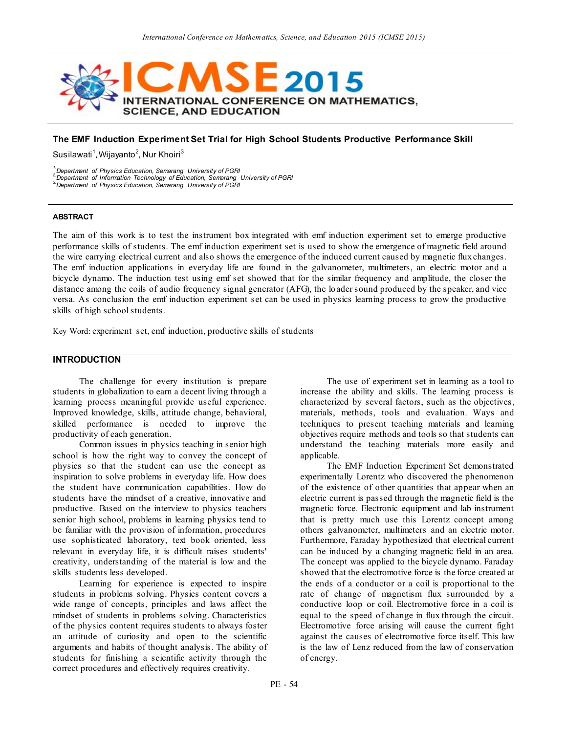

### **The EMF Induction Experiment Set Trial for High School Students Productive Performance Skill**

Susilawati<sup>1</sup>, Wijayanto<sup>2</sup>, Nur Khoiri<sup>3</sup>

*1.Department of Physics Education, Semarang University of PGRI*

*2.Department of Information Technology of Education, Semarang University of PGRI*

*3.Department of Physics Education, Semarang University of PGRI*

#### **ABSTRACT**

The aim of this work is to test the instrument box integrated with emf induction experiment set to emerge productive performance skills of students. The emf induction experiment set is used to show the emergence of magnetic field around the wire carrying electrical current and also shows the emergence of the induced current caused by magnetic flux changes. The emf induction applications in everyday life are found in the galvanometer, multimeters, an electric motor and a bicycle dynamo. The induction test using emf set showed that for the similar frequency and amplitude, the closer the distance among the coils of audio frequency signal generator (AFG), the lo ader sound produced by the speaker, and vice versa. As conclusion the emf induction experiment set can be used in physics learning process to grow the productive skills of high school students.

Key Word: experiment set, emf induction, productive skills of students

## **INTRODUCTION**

The challenge for every institution is prepare students in globalization to earn a decent living through a learning process meaningful provide useful experience. Improved knowledge, skills, attitude change, behavioral, skilled performance is needed to improve the productivity of each generation.

Common issues in physics teaching in senior high school is how the right way to convey the concept of physics so that the student can use the concept as inspiration to solve problems in everyday life. How does the student have communication capabilities. How do students have the mindset of a creative, innovative and productive. Based on the interview to physics teachers senior high school, problems in learning physics tend to be familiar with the provision of information, procedures use sophisticated laboratory, text book oriented, less relevant in everyday life, it is difficult raises students' creativity, understanding of the material is low and the skills students less developed.

Learning for experience is expected to inspire students in problems solving. Physics content covers a wide range of concepts, principles and laws affect the mindset of students in problems solving. Characteristics of the physics content requires students to always foster an attitude of curiosity and open to the scientific arguments and habits of thought analysis. The ability of students for finishing a scientific activity through the correct procedures and effectively requires creativity.

The use of experiment set in learning as a tool to increase the ability and skills. The learning process is characterized by several factors, such as the objectives, materials, methods, tools and evaluation. Ways and techniques to present teaching materials and learning objectives require methods and tools so that students can understand the teaching materials more easily and applicable.

The EMF Induction Experiment Set demonstrated experimentally Lorentz who discovered the phenomenon of the existence of other quantities that appear when an electric current is passed through the magnetic field is the magnetic force. Electronic equipment and lab instrument that is pretty much use this Lorentz concept among others galvanometer, multimeters and an electric motor. Furthermore, Faraday hypothesized that electrical current can be induced by a changing magnetic field in an area. The concept was applied to the bicycle dynamo. Faraday showed that the electromotive force is the force created at the ends of a conductor or a coil is proportional to the rate of change of magnetism flux surrounded by a conductive loop or coil. Electromotive force in a coil is equal to the speed of change in flux through the circuit. Electromotive force arising will cause the current fight against the causes of electromotive force itself. This law is the law of Lenz reduced from the law of conservation of energy.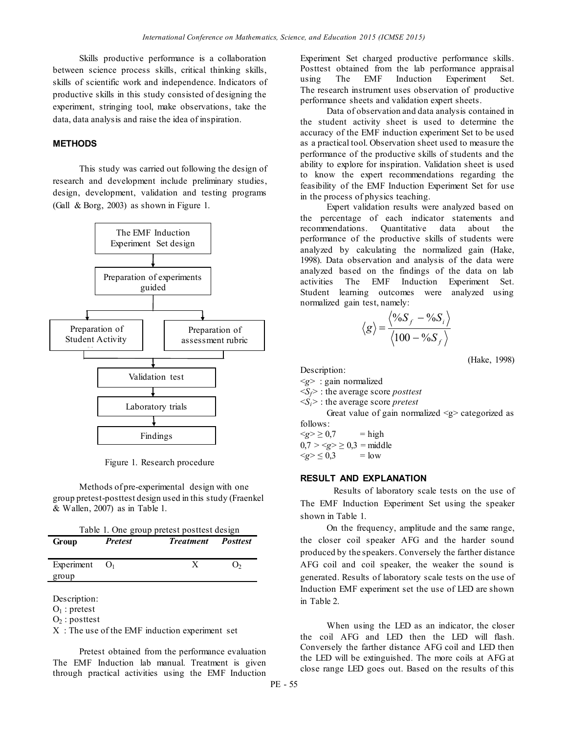Skills productive performance is a collaboration between science process skills, critical thinking skills, skills of scientific work and independence. Indicators of productive skills in this study consisted of designing the experiment, stringing tool, make observations, take the data, data analysis and raise the idea of inspiration.

#### **METHODS**

This study was carried out following the design of research and development include preliminary studies, design, development, validation and testing programs (Gall & Borg, 2003) as shown in Figure 1.



Figure 1. Research procedure

Methods of pre-experimental design with one group pretest-posttest design used in this study (Fraenkel & Wallen, 2007) as in Table 1.

| Table 1. One group pretest posttest design |                |                           |    |  |
|--------------------------------------------|----------------|---------------------------|----|--|
| Group                                      | <b>Pretest</b> | <b>Treatment</b> Posttest |    |  |
|                                            |                |                           |    |  |
| Experiment                                 | O <sub>1</sub> | Х                         | J۰ |  |
| group                                      |                |                           |    |  |

Description:

 $O_1$ : pretest

 $O<sub>2</sub>$ : posttest

X : The use of the EMF induction experiment set

Pretest obtained from the performance evaluation The EMF Induction lab manual. Treatment is given through practical activities using the EMF Induction

Experiment Set charged productive performance skills. Posttest obtained from the lab performance appraisal using The EMF Induction Experiment Set. The research instrument uses observation of productive performance sheets and validation expert sheets.

Data of observation and data analysis contained in the student activity sheet is used to determine the accuracy of the EMF induction experiment Set to be used as a practical tool. Observation sheet used to measure the performance of the productive skills of students and the ability to explore for inspiration. Validation sheet is used to know the expert recommendations regarding the feasibility of the EMF Induction Experiment Set for use in the process of physics teaching.

Expert validation results were analyzed based on the percentage of each indicator statements and recommendations. Quantitative data about the performance of the productive skills of students were analyzed by calculating the normalized gain (Hake, 1998). Data observation and analysis of the data were analyzed based on the findings of the data on lab activities The EMF Induction Experiment Set. Student learning outcomes were analyzed using normalized gain test, namely:

$$
\langle g \rangle = \frac{\langle \%S_f - \%S_i \rangle}{\langle 100 - \%S_f \rangle}
$$

(Hake, 1998)

Description:

<*g*> : gain normalized <*Sf>* : the average score *posttest*

<*Si>* : the average score *pretest*

Great value of gain normalized  $\leq g$  categorized as follows:

 $\langle g \rangle \ge 0.7$  = high  $0,7 > g > 0,3 = \text{middle}$  $\leq g \geq 0.3$  = low

#### **RESULT AND EXPLANATION**

Results of laboratory scale tests on the use of The EMF Induction Experiment Set using the speaker shown in Table 1.

On the frequency, amplitude and the same range, the closer coil speaker AFG and the harder sound produced by the speakers. Conversely the farther distance AFG coil and coil speaker, the weaker the sound is generated. Results of laboratory scale tests on the use of Induction EMF experiment set the use of LED are shown in Table 2.

When using the LED as an indicator, the closer the coil AFG and LED then the LED will flash. Conversely the farther distance AFG coil and LED then the LED will be extinguished. The more coils at AFG at close range LED goes out. Based on the results of this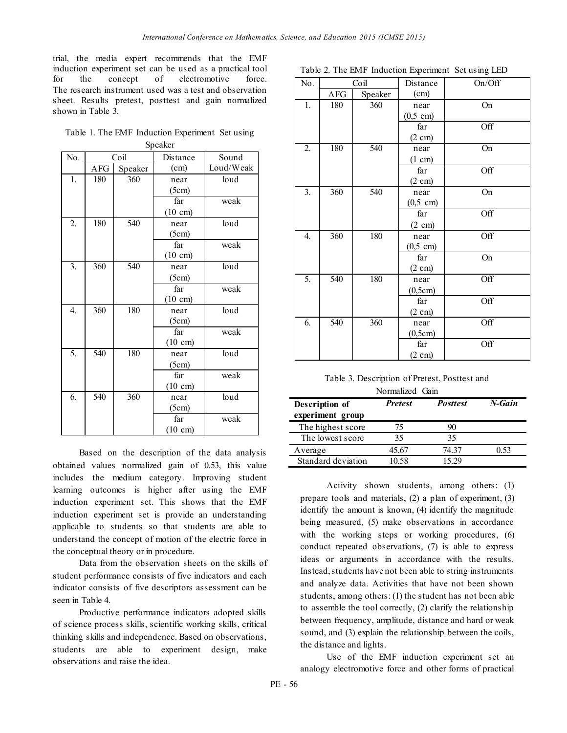trial, the media expert recommends that the EMF induction experiment set can be used as a practical tool for the concept of electromotive force. The research instrument used was a test and observation sheet. Results pretest, posttest and gain normalized shown in Table 3.

Table 1. The EMF Induction Experiment Set using

| Speaker          |            |         |                   |           |  |
|------------------|------------|---------|-------------------|-----------|--|
| No.              | Coil       |         | Distance          | Sound     |  |
|                  | <b>AFG</b> | Speaker | (cm)              | Loud/Weak |  |
| 1.               | 180        | 360     | near              | loud      |  |
|                  |            |         | (5cm)             |           |  |
|                  |            |         | far               | weak      |  |
|                  |            |         | $(10 \text{ cm})$ |           |  |
| 2.               | 180        | 540     | near              | loud      |  |
|                  |            |         | (5cm)             |           |  |
|                  |            |         | far               | weak      |  |
|                  |            |         | $(10 \text{ cm})$ |           |  |
| $\overline{3}$ . | 360        | 540     | near              | loud      |  |
|                  |            |         | (5cm)             |           |  |
|                  |            |         | far               | weak      |  |
|                  |            |         | $(10 \text{ cm})$ |           |  |
| $\overline{4}$ . | 360        | 180     | near              | loud      |  |
|                  |            |         | (5cm)             |           |  |
|                  |            |         | far               | weak      |  |
|                  |            |         | $(10 \text{ cm})$ |           |  |
| 5.               | 540        | 180     | near              | loud      |  |
|                  |            |         | (5cm)             |           |  |
|                  |            |         | far               | weak      |  |
|                  |            |         | $(10 \text{ cm})$ |           |  |
| 6.               | 540        | 360     | near              | loud      |  |
|                  |            |         | (5cm)             |           |  |
|                  |            |         | far               | weak      |  |
|                  |            |         | $(10 \text{ cm})$ |           |  |

Based on the description of the data analysis obtained values normalized gain of 0.53, this value includes the medium category. Improving student learning outcomes is higher after using the EMF induction experiment set. This shows that the EMF induction experiment set is provide an understanding applicable to students so that students are able to understand the concept of motion of the electric force in the conceptual theory or in procedure.

Data from the observation sheets on the skills of student performance consists of five indicators and each indicator consists of five descriptors assessment can be seen in Table 4.

Productive performance indicators adopted skills of science process skills, scientific working skills, critical thinking skills and independence. Based on observations, students are able to experiment design, make observations and raise the idea.

|  |  |  |  | Table 2. The EMF Induction Experiment Set using LED |  |  |
|--|--|--|--|-----------------------------------------------------|--|--|
|--|--|--|--|-----------------------------------------------------|--|--|

| No.              |     | Coil    | Distance            | On/Off |
|------------------|-----|---------|---------------------|--------|
|                  | AFG | Speaker | (cm)                |        |
| 1.               | 180 | 360     | near                | On     |
|                  |     |         | $(0, 5 \text{ cm})$ |        |
|                  |     |         | far                 | Off    |
|                  |     |         | $(2 \text{ cm})$    |        |
| $\overline{2}$ . | 180 | 540     | near                | On     |
|                  |     |         | (1 cm)              |        |
|                  |     |         | far                 | Off    |
|                  |     |         | $(2 \text{ cm})$    |        |
| 3.               | 360 | 540     | near                | On     |
|                  |     |         | $(0,5 \text{ cm})$  |        |
|                  |     |         | far                 | Off    |
|                  |     |         | $(2 \text{ cm})$    |        |
| 4.               | 360 | 180     | near                | Off    |
|                  |     |         | $(0,5 \text{ cm})$  |        |
|                  |     |         | far                 | On     |
|                  |     |         | $(2 \text{ cm})$    |        |
| 5.               | 540 | 180     | near                | Off    |
|                  |     |         | (0,5cm)             |        |
|                  |     |         | far                 | Off    |
|                  |     |         | $(2 \text{ cm})$    |        |
| 6.               | 540 | 360     | near                | Off    |
|                  |     |         | (0,5cm)             |        |
|                  |     |         | far                 | Off    |
|                  |     |         | $(2 \text{ cm})$    |        |

| Table 3. Description of Pretest, Posttest and |  |
|-----------------------------------------------|--|
| Normalized Gain                               |  |

| $1.0111$ $1.0111$                  |                |                 |        |  |
|------------------------------------|----------------|-----------------|--------|--|
| Description of<br>experiment group | <b>Pretest</b> | <b>Posttest</b> | N-Gain |  |
| The highest score                  | 75             | 90              |        |  |
| The lowest score                   | 35             | 35              |        |  |
| Average                            | 45.67          | 74 37           | 0.53   |  |
| Standard deviation                 | 10.58          | 15 29           |        |  |
|                                    |                |                 |        |  |

Activity shown students, among others: (1) prepare tools and materials, (2) a plan of experiment, (3) identify the amount is known, (4) identify the magnitude being measured, (5) make observations in accordance with the working steps or working procedures,  $(6)$ conduct repeated observations, (7) is able to express ideas or arguments in accordance with the results. Instead, students have not been able to string instruments and analyze data. Activities that have not been shown students, among others: (1) the student has not been able to assemble the tool correctly, (2) clarify the relationship between frequency, amplitude, distance and hard or weak sound, and (3) explain the relationship between the coils, the distance and lights.

Use of the EMF induction experiment set an analogy electromotive force and other forms of practical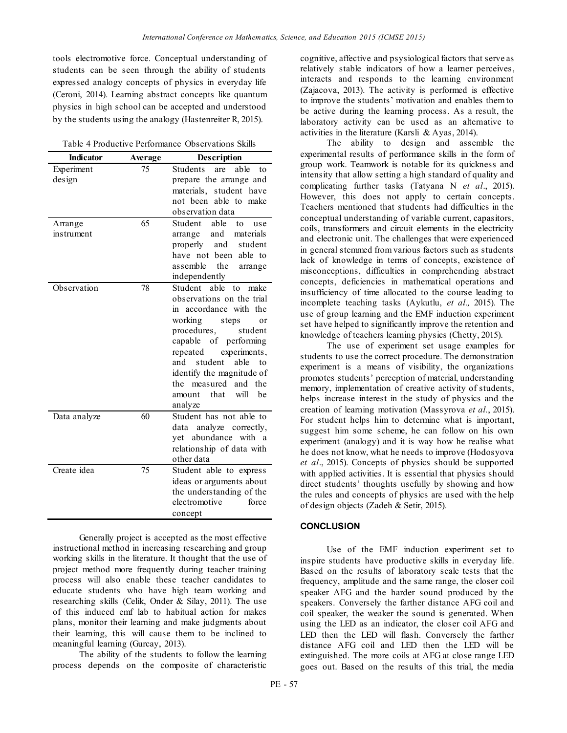tools electromotive force. Conceptual understanding of students can be seen through the ability of students expressed analogy concepts of physics in everyday life (Ceroni, 2014). Learning abstract concepts like quantum physics in high school can be accepted and understood by the students using the analogy (Hastenreiter R, 2015).

| Table 4 Productive Performance Observations Skills |  |  |  |
|----------------------------------------------------|--|--|--|
|----------------------------------------------------|--|--|--|

| <b>Indicator</b> | Average | Description                   |
|------------------|---------|-------------------------------|
| Experiment       | 75      | Students<br>able<br>are<br>to |
| design           |         | prepare the arrange and       |
|                  |         | materials, student have       |
|                  |         | not been able to make         |
|                  |         | observation data              |
| Arrange          | 65      | Student<br>able<br>to<br>use  |
| instrument       |         | and<br>materials<br>arrange   |
|                  |         | properly<br>and<br>student    |
|                  |         | have not been<br>able to      |
|                  |         | assemble<br>the<br>arrange    |
|                  |         | independently                 |
| Observation      | 78      | Student able<br>to<br>make    |
|                  |         | observations on the trial     |
|                  |         | in accordance with the        |
|                  |         | working<br>steps<br>or        |
|                  |         | procedures,<br>student        |
|                  |         | capable of performing         |
|                  |         | repeated<br>experiments,      |
|                  |         | student<br>able<br>and<br>to  |
|                  |         | identify the magnitude of     |
|                  |         | the measured and<br>the       |
|                  |         | will<br>that<br>he<br>amount  |
|                  |         | analyze                       |
| Data analyze     | 60      | Student has not able to       |
|                  |         | data analyze correctly,       |
|                  |         | yet abundance with a          |
|                  |         | relationship of data with     |
|                  |         | other data                    |
| Create idea      | 75      | Student able to express       |
|                  |         | ideas or arguments about      |
|                  |         | the understanding of the      |
|                  |         | electromotive<br>force        |
|                  |         | concept                       |

Generally project is accepted as the most effective instructional method in increasing researching and group working skills in the literature. It thought that the use of project method more frequently during teacher training process will also enable these teacher candidates to educate students who have high team working and researching skills (Celik, Onder & Silay, 2011). The use of this induced emf lab to habitual action for makes plans, monitor their learning and make judgments about their learning, this will cause them to be inclined to meaningful learning (Gurcay, 2013).

The ability of the students to follow the learning process depends on the composite of characteristic cognitive, affective and psysiological factors that serve as relatively stable indicators of how a learner perceives, interacts and responds to the learning environment (Zajacova, 2013). The activity is performed is effective to improve the students' motivation and enables them to be active during the learning process. As a result, the laboratory activity can be used as an alternative to activities in the literature (Karsli & Ayas, 2014).

The ability to design and assemble the experimental results of performance skills in the form of group work. Teamwork is notable for its quickness and intensity that allow setting a high standard of quality and complicating further tasks (Tatyana N *et al*., 2015). However, this does not apply to certain concepts. Teachers mentioned that students had difficulties in the conceptual understanding of variable current, capasitors, coils, transformers and circuit elements in the electricity and electronic unit. The challenges that were experienced in general stemmed from various factors such as students lack of knowledge in terms of concepts, excistence of misconceptions, difficulties in comprehending abstract concepts, deficiencies in mathematical operations and insufficiency of time allocated to the course leading to incomplete teaching tasks (Aykutlu, *et al.,* 2015). The use of group learning and the EMF induction experiment set have helped to significantly improve the retention and knowledge of teachers learning physics (Chetty, 2015).

The use of experiment set usage examples for students to use the correct procedure. The demonstration experiment is a means of visibility, the organizations promotes students' perception of material, understanding memory, implementation of creative activity of students, helps increase interest in the study of physics and the creation of learning motivation (Massyrova *et al.*, 2015). For student helps him to determine what is important, suggest him some scheme, he can follow on his own experiment (analogy) and it is way how he realise what he does not know, what he needs to improve (Hodosyova *et al*., 2015). Concepts of physics should be supported with applied activities. It is essential that physics should direct students' thoughts usefully by showing and how the rules and concepts of physics are used with the help of design objects (Zadeh & Setir, 2015).

#### **CONCLUSION**

Use of the EMF induction experiment set to inspire students have productive skills in everyday life. Based on the results of laboratory scale tests that the frequency, amplitude and the same range, the closer coil speaker AFG and the harder sound produced by the speakers. Conversely the farther distance AFG coil and coil speaker, the weaker the sound is generated. When using the LED as an indicator, the closer coil AFG and LED then the LED will flash. Conversely the farther distance AFG coil and LED then the LED will be extinguished. The more coils at AFG at close range LED goes out. Based on the results of this trial, the media